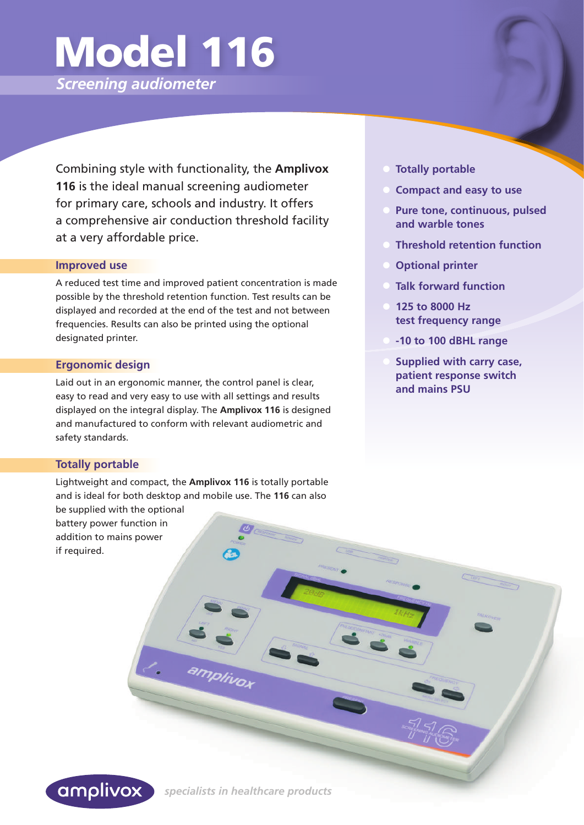# Model 116

*Screening audiometer*

 Combining style with functionality, the **Amplivox 116** is the ideal manual screening audiometer for primary care, schools and industry. It offers a comprehensive air conduction threshold facility at a very affordable price.

#### **Improved use**

A reduced test time and improved patient concentration is made possible by the threshold retention function. Test results can be displayed and recorded at the end of the test and not between frequencies. Results can also be printed using the optional designated printer.

# **Ergonomic design**

Laid out in an ergonomic manner, the control panel is clear, easy to read and very easy to use with all settings and results displayed on the integral display. The **Amplivox 116** is designed and manufactured to conform with relevant audiometric and safety standards.

# **Totally portable**

Lightweight and compact, the **Amplivox 116** is totally portable and is ideal for both desktop and mobile use. The **116** can also

be supplied with the optional battery power function in addition to mains power if required.

- **Totally portable**
- **Compact and easy to use**
- **Pure tone, continuous, pulsed and warble tones**
- **Threshold retention function**
- **Optional printer**
- **Talk forward function**
- **125 to 8000 Hz test frequency range**
- **-10 to 100 dBHL range**
- **Supplied with carry case, patient response switch and mains PSU**



amplivox